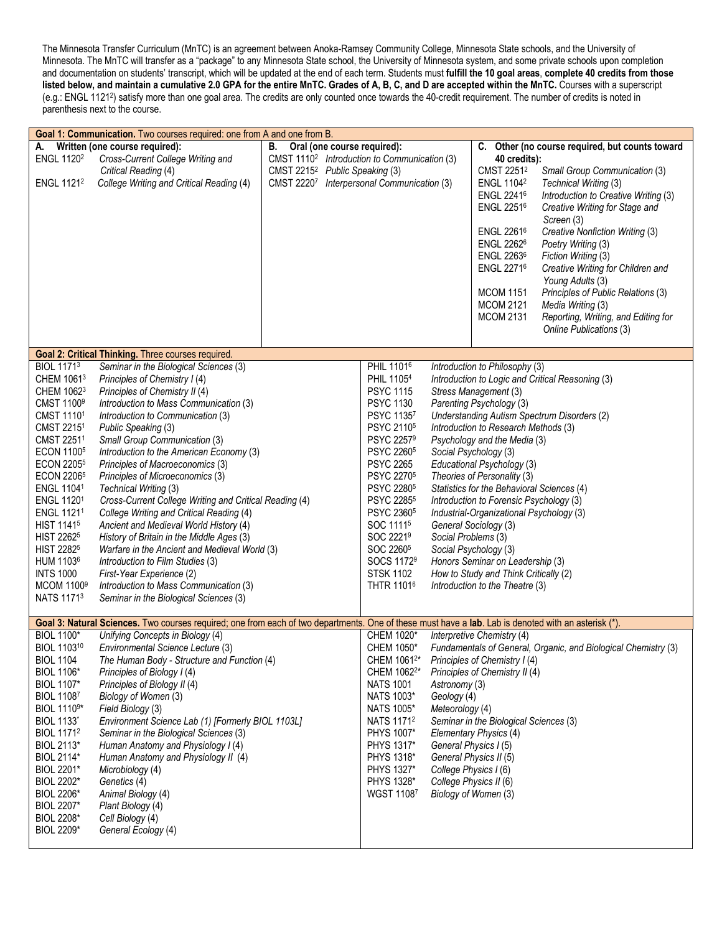The Minnesota Transfer Curriculum (MnTC) is an agreement between Anoka-Ramsey Community College, Minnesota State schools, and the University of Minnesota. The MnTC will transfer as a "package" to any Minnesota State school, the University of Minnesota system, and some private schools upon completion and documentation on students' transcript, which will be updated at the end of each term. Students must **fulfill the 10 goal areas**, **complete 40 credits from those listed below, and maintain a cumulative 2.0 GPA for the entire MnTC. Grades of A, B, C, and D are accepted within the MnTC.** Courses with a superscript (e.g.: ENGL 11212) satisfy more than one goal area. The credits are only counted once towards the 40-credit requirement. The number of credits is noted in parenthesis next to the course.

| Goal 1: Communication. Two courses required: one from A and one from B.                                                                                                                                                                                                                                                                                                            |                                                                                                                                                                                                                                                                                                                                                                                                                                                                                                                                                                                                                                                                                                                                                                                                  |                                                                                                                                                                                           |                                                                                                                                                                                                                                                                                                                                                                                                         |                                                                                                                             |                                                                                                                                                                                                                                                                                                                                                                                                                                                                                                                                                          |                                                                                                                                                                                                                                                                                                                                                                                                                                                                         |
|------------------------------------------------------------------------------------------------------------------------------------------------------------------------------------------------------------------------------------------------------------------------------------------------------------------------------------------------------------------------------------|--------------------------------------------------------------------------------------------------------------------------------------------------------------------------------------------------------------------------------------------------------------------------------------------------------------------------------------------------------------------------------------------------------------------------------------------------------------------------------------------------------------------------------------------------------------------------------------------------------------------------------------------------------------------------------------------------------------------------------------------------------------------------------------------------|-------------------------------------------------------------------------------------------------------------------------------------------------------------------------------------------|---------------------------------------------------------------------------------------------------------------------------------------------------------------------------------------------------------------------------------------------------------------------------------------------------------------------------------------------------------------------------------------------------------|-----------------------------------------------------------------------------------------------------------------------------|----------------------------------------------------------------------------------------------------------------------------------------------------------------------------------------------------------------------------------------------------------------------------------------------------------------------------------------------------------------------------------------------------------------------------------------------------------------------------------------------------------------------------------------------------------|-------------------------------------------------------------------------------------------------------------------------------------------------------------------------------------------------------------------------------------------------------------------------------------------------------------------------------------------------------------------------------------------------------------------------------------------------------------------------|
| А.<br>ENGL 1120 <sup>2</sup><br>ENGL 1121 <sup>2</sup>                                                                                                                                                                                                                                                                                                                             | Written (one course required):<br>Cross-Current College Writing and<br>Critical Reading (4)<br>College Writing and Critical Reading (4)                                                                                                                                                                                                                                                                                                                                                                                                                                                                                                                                                                                                                                                          | В.<br>Oral (one course required):<br>CMST 1110 <sup>2</sup> Introduction to Communication (3)<br>CMST 2215 <sup>2</sup> Public Speaking (3)<br>CMST 22207 Interpersonal Communication (3) |                                                                                                                                                                                                                                                                                                                                                                                                         |                                                                                                                             | 40 credits):<br>CMST 2251 <sup>2</sup><br>ENGL 1104 <sup>2</sup><br><b>ENGL 22416</b><br>ENGL 22516<br>ENGL 22616<br><b>ENGL 22626</b><br>ENGL 22636<br>ENGL 22716<br><b>MCOM 1151</b><br><b>MCOM 2121</b><br><b>MCOM 2131</b>                                                                                                                                                                                                                                                                                                                           | C. Other (no course required, but counts toward<br>Small Group Communication (3)<br>Technical Writing (3)<br>Introduction to Creative Writing (3)<br>Creative Writing for Stage and<br>Screen (3)<br>Creative Nonfiction Writing (3)<br>Poetry Writing (3)<br>Fiction Writing (3)<br>Creative Writing for Children and<br>Young Adults (3)<br>Principles of Public Relations (3)<br>Media Writing (3)<br>Reporting, Writing, and Editing for<br>Online Publications (3) |
|                                                                                                                                                                                                                                                                                                                                                                                    | Goal 2: Critical Thinking. Three courses required.                                                                                                                                                                                                                                                                                                                                                                                                                                                                                                                                                                                                                                                                                                                                               |                                                                                                                                                                                           |                                                                                                                                                                                                                                                                                                                                                                                                         |                                                                                                                             |                                                                                                                                                                                                                                                                                                                                                                                                                                                                                                                                                          |                                                                                                                                                                                                                                                                                                                                                                                                                                                                         |
| <b>BIOL 11713</b><br>CHEM 10613<br>CHEM 10623<br>CMST 1100 <sup>9</sup><br>CMST 11101<br>CMST 22151<br>CMST 22511<br><b>ECON 11005</b><br><b>ECON 22055</b><br>ECON 22065<br>ENGL 11041<br>ENGL 11201<br>ENGL 11211<br><b>HIST 1141<sup>5</sup></b><br><b>HIST 22625</b><br><b>HIST 22825</b><br>HUM 1103 <sup>6</sup><br><b>INTS 1000</b><br>MCOM 1100 <sup>9</sup><br>NATS 11713 | Seminar in the Biological Sciences (3)<br>Principles of Chemistry I (4)<br>Principles of Chemistry II (4)<br>Introduction to Mass Communication (3)<br>Introduction to Communication (3)<br>Public Speaking (3)<br>Small Group Communication (3)<br>Introduction to the American Economy (3)<br>Principles of Macroeconomics (3)<br>Principles of Microeconomics (3)<br>Technical Writing (3)<br>Cross-Current College Writing and Critical Reading (4)<br>College Writing and Critical Reading (4)<br>Ancient and Medieval World History (4)<br>History of Britain in the Middle Ages (3)<br>Warfare in the Ancient and Medieval World (3)<br>Introduction to Film Studies (3)<br>First-Year Experience (2)<br>Introduction to Mass Communication (3)<br>Seminar in the Biological Sciences (3) |                                                                                                                                                                                           | PHIL 11016<br>PHIL 11054<br><b>PSYC 1115</b><br><b>PSYC 1130</b><br>PSYC 11357<br>PSYC 2110 <sup>5</sup><br>PSYC 22579<br>PSYC 2260 <sup>5</sup><br><b>PSYC 2265</b><br>PSYC 2270 <sup>5</sup><br>PSYC 22805<br>PSYC 2285 <sup>5</sup><br>PSYC 2360 <sup>5</sup><br>SOC 1111 <sup>5</sup><br>SOC 22219<br>SOC 2260 <sup>5</sup><br>SOCS 1172 <sup>9</sup><br><b>STSK 1102</b><br>THTR 1101 <sup>6</sup> | Social Problems (3)                                                                                                         | Introduction to Philosophy (3)<br>Stress Management (3)<br>Parenting Psychology (3)<br>Introduction to Research Methods (3)<br>Psychology and the Media (3)<br>Social Psychology (3)<br>Educational Psychology (3)<br>Theories of Personality (3)<br>Statistics for the Behavioral Sciences (4)<br>Introduction to Forensic Psychology (3)<br>Industrial-Organizational Psychology (3)<br>General Sociology (3)<br>Social Psychology (3)<br>Honors Seminar on Leadership (3)<br>How to Study and Think Critically (2)<br>Introduction to the Theatre (3) | Introduction to Logic and Critical Reasoning (3)<br>Understanding Autism Spectrum Disorders (2)                                                                                                                                                                                                                                                                                                                                                                         |
|                                                                                                                                                                                                                                                                                                                                                                                    | Goal 3: Natural Sciences. Two courses required; one from each of two departments. One of these must have a lab. Lab is denoted with an asterisk (*).                                                                                                                                                                                                                                                                                                                                                                                                                                                                                                                                                                                                                                             |                                                                                                                                                                                           |                                                                                                                                                                                                                                                                                                                                                                                                         |                                                                                                                             |                                                                                                                                                                                                                                                                                                                                                                                                                                                                                                                                                          |                                                                                                                                                                                                                                                                                                                                                                                                                                                                         |
| <b>BIOL 1100*</b><br>BIOL 110310<br><b>BIOL 1104</b><br><b>BIOL 1106*</b><br><b>BIOL 1107*</b><br><b>BIOL 11087</b><br>BIOL 1110 <sup>9*</sup><br><b>BIOL 1133*</b><br><b>BIOL 11712</b><br>BIOL 2113*<br><b>BIOL 2114*</b><br>BIOL 2201*<br>BIOL 2202*<br><b>BIOL 2206*</b><br><b>BIOL 2207*</b><br><b>BIOL 2208*</b><br><b>BIOL 2209*</b>                                        | Unifying Concepts in Biology (4)<br>Environmental Science Lecture (3)<br>The Human Body - Structure and Function (4)<br>Principles of Biology I (4)<br>Principles of Biology II (4)<br>Biology of Women (3)<br>Field Biology (3)<br>Environment Science Lab (1) [Formerly BIOL 1103L]<br>Seminar in the Biological Sciences (3)<br>Human Anatomy and Physiology I (4)<br>Human Anatomy and Physiology II (4)<br>Microbiology (4)<br>Genetics (4)<br>Animal Biology (4)<br>Plant Biology (4)<br>Cell Biology (4)<br>General Ecology (4)                                                                                                                                                                                                                                                           |                                                                                                                                                                                           | CHEM 1020*<br>CHEM 1050*<br>CHEM 10612*<br>CHEM 1062 <sup>2*</sup><br><b>NATS 1001</b><br>NATS 1003*<br>NATS 1005*<br>NATS 11712<br>PHYS 1007*<br>PHYS 1317*<br>PHYS 1318*<br>PHYS 1327*<br>PHYS 1328*<br><b>WGST 11087</b>                                                                                                                                                                             | Astronomy (3)<br>Geology (4)<br>Meteorology (4)<br>General Physics I (5)<br>College Physics I (6)<br>College Physics II (6) | Interpretive Chemistry (4)<br>Principles of Chemistry I (4)<br>Principles of Chemistry II (4)<br>Seminar in the Biological Sciences (3)<br>Elementary Physics (4)<br>General Physics II (5)<br>Biology of Women (3)                                                                                                                                                                                                                                                                                                                                      | Fundamentals of General, Organic, and Biological Chemistry (3)                                                                                                                                                                                                                                                                                                                                                                                                          |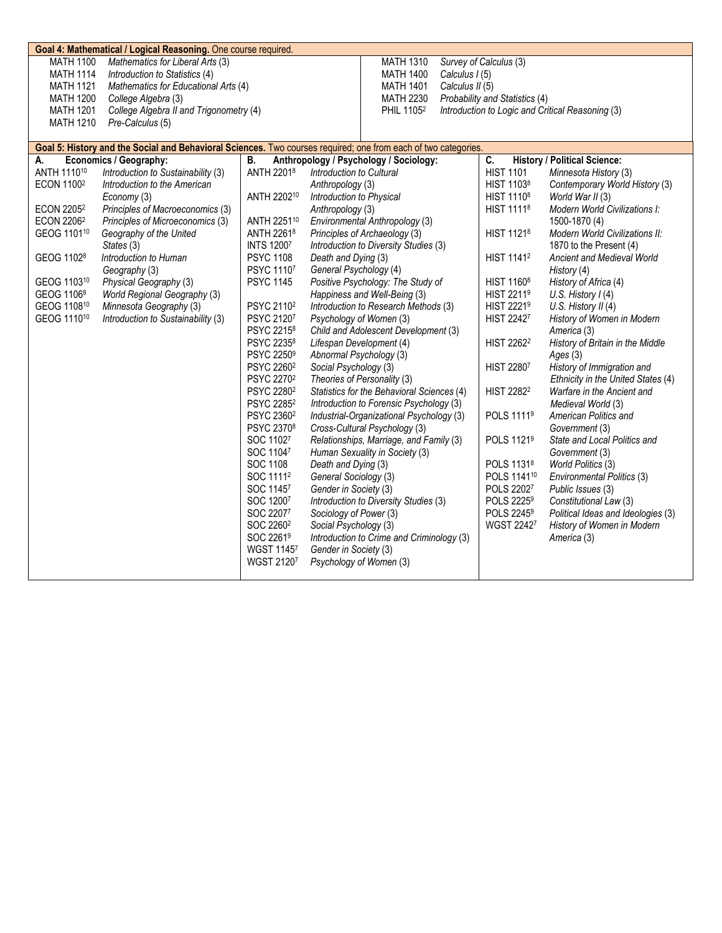| Goal 4: Mathematical / Logical Reasoning. One course required.                                                 |                                         |                                    |                                                                    |                                             |                                                  |  |
|----------------------------------------------------------------------------------------------------------------|-----------------------------------------|------------------------------------|--------------------------------------------------------------------|---------------------------------------------|--------------------------------------------------|--|
| <b>MATH 1100</b>                                                                                               | Mathematics for Liberal Arts (3)        | <b>MATH 1310</b>                   | Survey of Calculus (3)                                             |                                             |                                                  |  |
| <b>MATH 1114</b>                                                                                               | Introduction to Statistics (4)          |                                    | <b>MATH 1400</b><br>Calculus I (5)                                 |                                             |                                                  |  |
| <b>MATH 1121</b>                                                                                               | Mathematics for Educational Arts (4)    |                                    | Calculus II (5)<br><b>MATH 1401</b>                                |                                             |                                                  |  |
| <b>MATH 1200</b>                                                                                               | College Algebra (3)                     |                                    | <b>MATH 2230</b>                                                   | Probability and Statistics (4)              |                                                  |  |
| <b>MATH 1201</b>                                                                                               | College Algebra II and Trigonometry (4) |                                    | PHIL 1105 <sup>2</sup>                                             |                                             | Introduction to Logic and Critical Reasoning (3) |  |
| <b>MATH 1210</b>                                                                                               | Pre-Calculus (5)                        |                                    |                                                                    |                                             |                                                  |  |
| Goal 5: History and the Social and Behavioral Sciences. Two courses required; one from each of two categories. |                                         |                                    |                                                                    |                                             |                                                  |  |
| А.                                                                                                             | Economics / Geography:                  | В.                                 | Anthropology / Psychology / Sociology:                             | C.                                          | <b>History / Political Science:</b>              |  |
| ANTH 111010                                                                                                    | Introduction to Sustainability (3)      | ANTH 22018                         | Introduction to Cultural                                           | <b>HIST 1101</b>                            | Minnesota History (3)                            |  |
| <b>ECON 11002</b>                                                                                              | Introduction to the American            |                                    | Anthropology (3)                                                   | HIST 11038                                  | Contemporary World History (3)                   |  |
|                                                                                                                | Economy (3)                             | ANTH 220210                        | Introduction to Physical                                           | HIST 1110 <sup>8</sup>                      | World War II (3)                                 |  |
| <b>ECON 22052</b>                                                                                              | Principles of Macroeconomics (3)        |                                    | Anthropology (3)                                                   | HIST 1111 <sup>8</sup>                      | Modern World Civilizations I:                    |  |
| ECON 2206 <sup>2</sup>                                                                                         | Principles of Microeconomics (3)        | ANTH 225110                        | Environmental Anthropology (3)                                     |                                             | 1500-1870 (4)                                    |  |
| GEOG 1101 <sup>10</sup>                                                                                        | Geography of the United                 | ANTH 22618                         | Principles of Archaeology (3)                                      | HIST 11218                                  | Modern World Civilizations II:                   |  |
|                                                                                                                | States (3)                              | <b>INTS 12007</b>                  | Introduction to Diversity Studies (3)                              |                                             | 1870 to the Present (4)                          |  |
| GEOG 1102 <sup>8</sup>                                                                                         | Introduction to Human                   | <b>PSYC 1108</b>                   | Death and Dying (3)                                                | <b>HIST 11412</b>                           | <b>Ancient and Medieval World</b>                |  |
|                                                                                                                | Geography (3)                           | PSYC 11107                         | General Psychology (4)                                             |                                             | History (4)                                      |  |
| GEOG 110310                                                                                                    | Physical Geography (3)                  | <b>PSYC 1145</b>                   | Positive Psychology: The Study of                                  | HIST 1160 <sup>8</sup>                      | History of Africa (4)                            |  |
| GEOG 1106 <sup>8</sup>                                                                                         | World Regional Geography (3)            |                                    | Happiness and Well-Being (3)                                       | HIST 2211 <sup>9</sup>                      | U.S. History $I(4)$                              |  |
| GEOG 110810                                                                                                    | Minnesota Geography (3)                 | PSYC 2110 <sup>2</sup>             | Introduction to Research Methods (3)                               | <b>HIST 22219</b>                           | U.S. History II (4)                              |  |
| GEOG 1110 <sup>10</sup>                                                                                        | Introduction to Sustainability (3)      | PSYC 21207                         | Psychology of Women (3)                                            | <b>HIST 22427</b>                           | History of Women in Modern                       |  |
|                                                                                                                |                                         | PSYC 2215 <sup>8</sup>             | Child and Adolescent Development (3)                               |                                             | America (3)                                      |  |
|                                                                                                                |                                         | PSYC 22358                         | Lifespan Development (4)                                           | HIST 2262 <sup>2</sup>                      | History of Britain in the Middle                 |  |
|                                                                                                                |                                         | PSYC 2250 <sup>9</sup>             | Abnormal Psychology (3)                                            |                                             | Ages(3)                                          |  |
|                                                                                                                |                                         | PSYC 2260 <sup>2</sup>             | Social Psychology (3)                                              | <b>HIST 22807</b>                           | History of Immigration and                       |  |
|                                                                                                                |                                         | PSYC 2270 <sup>2</sup>             | Theories of Personality (3)                                        |                                             | Ethnicity in the United States (4)               |  |
|                                                                                                                |                                         | PSYC 2280 <sup>2</sup>             | Statistics for the Behavioral Sciences (4)                         | <b>HIST 22822</b>                           | Warfare in the Ancient and                       |  |
|                                                                                                                |                                         | PSYC 2285 <sup>2</sup>             | Introduction to Forensic Psychology (3)                            |                                             | Medieval World (3)                               |  |
|                                                                                                                |                                         | PSYC 2360 <sup>2</sup>             | Industrial-Organizational Psychology (3)                           | POLS 11119                                  | American Politics and                            |  |
|                                                                                                                |                                         | PSYC 23708                         | Cross-Cultural Psychology (3)                                      |                                             | Government (3)                                   |  |
|                                                                                                                |                                         | SOC 11027                          | Relationships, Marriage, and Family (3)                            | POLS 11219                                  | State and Local Politics and                     |  |
|                                                                                                                |                                         | SOC 11047                          | Human Sexuality in Society (3)                                     |                                             | Government (3)                                   |  |
|                                                                                                                |                                         | SOC 1108                           | Death and Dying (3)                                                | POLS 11318                                  | World Politics (3)                               |  |
|                                                                                                                |                                         | SOC 1111 <sup>2</sup>              | General Sociology (3)                                              | POLS 1141 <sup>10</sup>                     | Environmental Politics (3)                       |  |
|                                                                                                                |                                         | SOC 11457                          | Gender in Society (3)                                              | POLS 22027                                  | Public Issues (3)                                |  |
|                                                                                                                |                                         | SOC 12007                          | Introduction to Diversity Studies (3)                              | POLS 2225 <sup>9</sup>                      | Constitutional Law (3)                           |  |
|                                                                                                                |                                         | SOC 22077<br>SOC 2260 <sup>2</sup> | Sociology of Power (3)                                             | POLS 2245 <sup>9</sup><br><b>WGST 22427</b> | Political Ideas and Ideologies (3)               |  |
|                                                                                                                |                                         | SOC 22619                          | Social Psychology (3)<br>Introduction to Crime and Criminology (3) |                                             | History of Women in Modern                       |  |
|                                                                                                                |                                         | <b>WGST 11457</b>                  | Gender in Society (3)                                              |                                             | America (3)                                      |  |
|                                                                                                                |                                         | <b>WGST 21207</b>                  | Psychology of Women (3)                                            |                                             |                                                  |  |
|                                                                                                                |                                         |                                    |                                                                    |                                             |                                                  |  |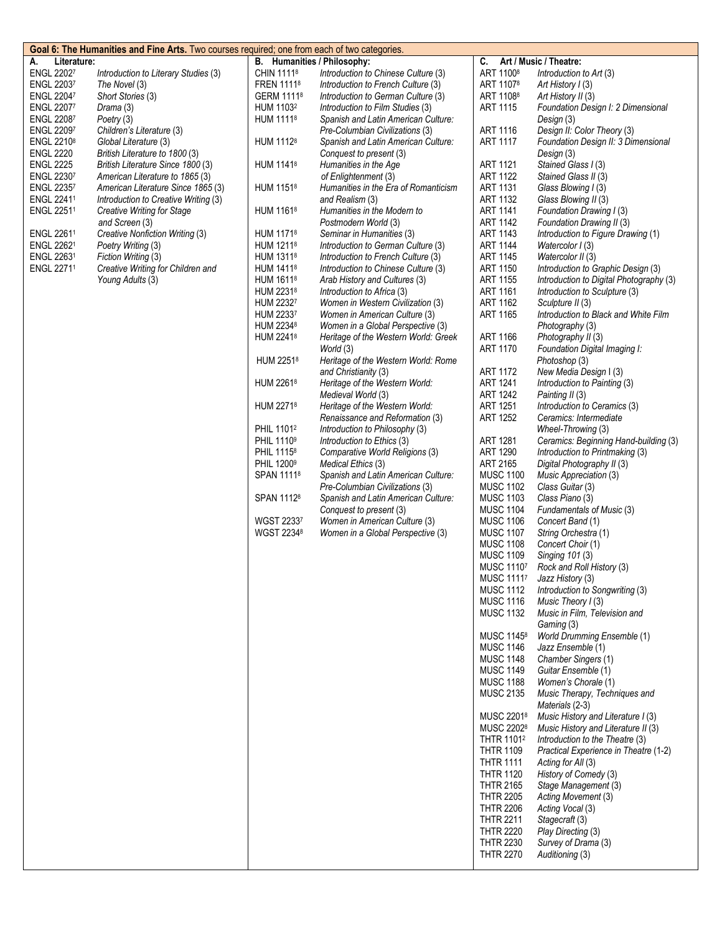| Goal 6: The Humanities and Fine Arts. Two courses required; one from each of two categories. |                                                          |                                                |                                                                           |                                      |                                                         |
|----------------------------------------------------------------------------------------------|----------------------------------------------------------|------------------------------------------------|---------------------------------------------------------------------------|--------------------------------------|---------------------------------------------------------|
| Literature:<br>A.                                                                            |                                                          |                                                | B. Humanities / Philosophy:                                               | C.                                   | Art / Music / Theatre:                                  |
| <b>ENGL 22027</b>                                                                            | Introduction to Literary Studies (3)                     | CHIN 11118                                     | Introduction to Chinese Culture (3)                                       | ART 1100 <sup>8</sup>                | Introduction to Art (3)                                 |
| <b>ENGL 22037</b>                                                                            | The Novel (3)                                            | FREN 11118                                     | Introduction to French Culture (3)                                        | ART 11078                            | Art History I (3)                                       |
| <b>ENGL 22047</b>                                                                            | Short Stories (3)                                        | GERM 11118                                     | Introduction to German Culture (3)                                        | ART 11088                            | Art History II (3)                                      |
| <b>ENGL 22077</b><br><b>ENGL 22087</b>                                                       | Drama (3)                                                | HUM 1103 <sup>2</sup><br>HUM 11118             | Introduction to Film Studies (3)                                          | <b>ART 1115</b>                      | Foundation Design I: 2 Dimensional                      |
| <b>ENGL 22097</b>                                                                            | Poetry (3)<br>Children's Literature (3)                  |                                                | Spanish and Latin American Culture:<br>Pre-Columbian Civilizations (3)    | ART 1116                             | Design (3)<br>Design II: Color Theory (3)               |
| <b>ENGL 22108</b>                                                                            | Global Literature (3)                                    | HUM 1112 <sup>8</sup>                          | Spanish and Latin American Culture:                                       | <b>ART 1117</b>                      | Foundation Design II: 3 Dimensional                     |
| <b>ENGL 2220</b>                                                                             | British Literature to 1800 (3)                           |                                                | Conquest to present (3)                                                   |                                      | Design (3)                                              |
| <b>ENGL 2225</b>                                                                             | British Literature Since 1800 (3)                        | HUM 1141 <sup>8</sup>                          | Humanities in the Age                                                     | <b>ART 1121</b>                      | Stained Glass I (3)                                     |
| ENGL 22307                                                                                   | American Literature to 1865 (3)                          |                                                | of Enlightenment (3)                                                      | <b>ART 1122</b>                      | Stained Glass II (3)                                    |
| ENGL 22357                                                                                   | American Literature Since 1865 (3)                       | HUM 11518                                      | Humanities in the Era of Romanticism                                      | <b>ART 1131</b>                      | Glass Blowing I (3)                                     |
| ENGL 22411                                                                                   | Introduction to Creative Writing (3)                     |                                                | and Realism (3)                                                           | ART 1132                             | Glass Blowing II (3)                                    |
| ENGL 22511                                                                                   | Creative Writing for Stage                               | HUM 11618                                      | Humanities in the Modern to                                               | <b>ART 1141</b>                      | Foundation Drawing I (3)                                |
|                                                                                              | and Screen (3)                                           |                                                | Postmodern World (3)                                                      | <b>ART 1142</b>                      | Foundation Drawing II (3)                               |
| ENGL 22611                                                                                   | Creative Nonfiction Writing (3)                          | HUM 1171 <sup>8</sup>                          | Seminar in Humanities (3)                                                 | <b>ART 1143</b>                      | Introduction to Figure Drawing (1)                      |
| ENGL 22621<br>ENGL 22631                                                                     | Poetry Writing (3)                                       | HUM 1211 <sup>8</sup><br>HUM 1311 <sup>8</sup> | Introduction to German Culture (3)                                        | <b>ART 1144</b><br><b>ART 1145</b>   | Watercolor I (3)                                        |
| <b>ENGL 22711</b>                                                                            | Fiction Writing (3)<br>Creative Writing for Children and | HUM 1411 <sup>8</sup>                          | Introduction to French Culture (3)<br>Introduction to Chinese Culture (3) | <b>ART 1150</b>                      | Watercolor II (3)<br>Introduction to Graphic Design (3) |
|                                                                                              | Young Adults (3)                                         | HUM 1611 <sup>8</sup>                          | Arab History and Cultures (3)                                             | <b>ART 1155</b>                      | Introduction to Digital Photography (3)                 |
|                                                                                              |                                                          | HUM 22318                                      | Introduction to Africa (3)                                                | <b>ART 1161</b>                      | Introduction to Sculpture (3)                           |
|                                                                                              |                                                          | HUM 22327                                      | Women in Western Civilization (3)                                         | <b>ART 1162</b>                      | Sculpture II (3)                                        |
|                                                                                              |                                                          | HUM 22337                                      | Women in American Culture (3)                                             | <b>ART 1165</b>                      | Introduction to Black and White Film                    |
|                                                                                              |                                                          | HUM 2234 <sup>8</sup>                          | Women in a Global Perspective (3)                                         |                                      | Photography (3)                                         |
|                                                                                              |                                                          | HUM 22418                                      | Heritage of the Western World: Greek                                      | <b>ART 1166</b>                      | Photography II (3)                                      |
|                                                                                              |                                                          |                                                | World (3)                                                                 | <b>ART 1170</b>                      | Foundation Digital Imaging I:                           |
|                                                                                              |                                                          | HUM 22518                                      | Heritage of the Western World: Rome                                       |                                      | Photoshop (3)                                           |
|                                                                                              |                                                          |                                                | and Christianity (3)                                                      | <b>ART 1172</b>                      | New Media Design I (3)                                  |
|                                                                                              |                                                          | HUM 22618                                      | Heritage of the Western World:                                            | <b>ART 1241</b>                      | Introduction to Painting (3)                            |
|                                                                                              |                                                          | HUM 22718                                      | Medieval World (3)                                                        | <b>ART 1242</b>                      | Painting II (3)                                         |
|                                                                                              |                                                          |                                                | Heritage of the Western World:<br>Renaissance and Reformation (3)         | <b>ART 1251</b><br><b>ART 1252</b>   | Introduction to Ceramics (3)<br>Ceramics: Intermediate  |
|                                                                                              |                                                          | PHIL 1101 <sup>2</sup>                         | Introduction to Philosophy (3)                                            |                                      | Wheel-Throwing (3)                                      |
|                                                                                              |                                                          | PHIL 11109                                     | Introduction to Ethics (3)                                                | <b>ART 1281</b>                      | Ceramics: Beginning Hand-building (3)                   |
|                                                                                              |                                                          | PHIL 11158                                     | Comparative World Religions (3)                                           | ART 1290                             | Introduction to Printmaking (3)                         |
|                                                                                              |                                                          | PHIL 12009                                     | Medical Ethics (3)                                                        | ART 2165                             | Digital Photography II (3)                              |
|                                                                                              |                                                          | SPAN 11118                                     | Spanish and Latin American Culture:                                       | <b>MUSC 1100</b>                     | Music Appreciation (3)                                  |
|                                                                                              |                                                          |                                                | Pre-Columbian Civilizations (3)                                           | <b>MUSC 1102</b>                     | Class Guitar (3)                                        |
|                                                                                              |                                                          | SPAN 11128                                     | Spanish and Latin American Culture:                                       | <b>MUSC 1103</b>                     | Class Piano (3)                                         |
|                                                                                              |                                                          |                                                | Conquest to present (3)                                                   | <b>MUSC 1104</b>                     | Fundamentals of Music (3)                               |
|                                                                                              |                                                          | <b>WGST 22337</b><br>WGST 22348                | Women in American Culture (3)<br>Women in a Global Perspective (3)        | <b>MUSC 1106</b><br><b>MUSC 1107</b> | Concert Band (1)<br>String Orchestra (1)                |
|                                                                                              |                                                          |                                                |                                                                           | <b>MUSC 1108</b>                     | Concert Choir (1)                                       |
|                                                                                              |                                                          |                                                |                                                                           | <b>MUSC 1109</b>                     | Singing 101 (3)                                         |
|                                                                                              |                                                          |                                                |                                                                           | MUSC 11107                           | Rock and Roll History (3)                               |
|                                                                                              |                                                          |                                                |                                                                           | MUSC 11117                           | Jazz History (3)                                        |
|                                                                                              |                                                          |                                                |                                                                           | <b>MUSC 1112</b>                     | Introduction to Songwriting (3)                         |
|                                                                                              |                                                          |                                                |                                                                           | <b>MUSC 1116</b>                     | Music Theory I (3)                                      |
|                                                                                              |                                                          |                                                |                                                                           | <b>MUSC 1132</b>                     | Music in Film, Television and                           |
|                                                                                              |                                                          |                                                |                                                                           |                                      | Gaming (3)                                              |
|                                                                                              |                                                          |                                                |                                                                           | MUSC 1145 <sup>8</sup>               | <b>World Drumming Ensemble (1)</b>                      |
|                                                                                              |                                                          |                                                |                                                                           | <b>MUSC 1146</b><br><b>MUSC 1148</b> | Jazz Ensemble (1)<br>Chamber Singers (1)                |
|                                                                                              |                                                          |                                                |                                                                           | <b>MUSC 1149</b>                     | Guitar Ensemble (1)                                     |
|                                                                                              |                                                          |                                                |                                                                           | <b>MUSC 1188</b>                     | Women's Chorale (1)                                     |
|                                                                                              |                                                          |                                                |                                                                           | <b>MUSC 2135</b>                     | Music Therapy, Techniques and                           |
|                                                                                              |                                                          |                                                |                                                                           |                                      | Materials (2-3)                                         |
|                                                                                              |                                                          |                                                |                                                                           | MUSC 22018                           | Music History and Literature I (3)                      |
|                                                                                              |                                                          |                                                |                                                                           | MUSC 2202 <sup>8</sup>               | Music History and Literature II (3)                     |
|                                                                                              |                                                          |                                                |                                                                           | THTR 1101 <sup>2</sup>               | Introduction to the Theatre (3)                         |
|                                                                                              |                                                          |                                                |                                                                           | <b>THTR 1109</b>                     | Practical Experience in Theatre (1-2)                   |
|                                                                                              |                                                          |                                                |                                                                           | <b>THTR 1111</b>                     | Acting for All (3)                                      |
|                                                                                              |                                                          |                                                |                                                                           | <b>THTR 1120</b><br><b>THTR 2165</b> | History of Comedy (3)<br>Stage Management (3)           |
|                                                                                              |                                                          |                                                |                                                                           | <b>THTR 2205</b>                     | Acting Movement (3)                                     |
|                                                                                              |                                                          |                                                |                                                                           | <b>THTR 2206</b>                     | Acting Vocal (3)                                        |
|                                                                                              |                                                          |                                                |                                                                           | <b>THTR 2211</b>                     | Stagecraft (3)                                          |
|                                                                                              |                                                          |                                                |                                                                           | <b>THTR 2220</b>                     | Play Directing (3)                                      |
|                                                                                              |                                                          |                                                |                                                                           | <b>THTR 2230</b>                     | Survey of Drama (3)                                     |
|                                                                                              |                                                          |                                                |                                                                           | <b>THTR 2270</b>                     | Auditioning (3)                                         |
|                                                                                              |                                                          |                                                |                                                                           |                                      |                                                         |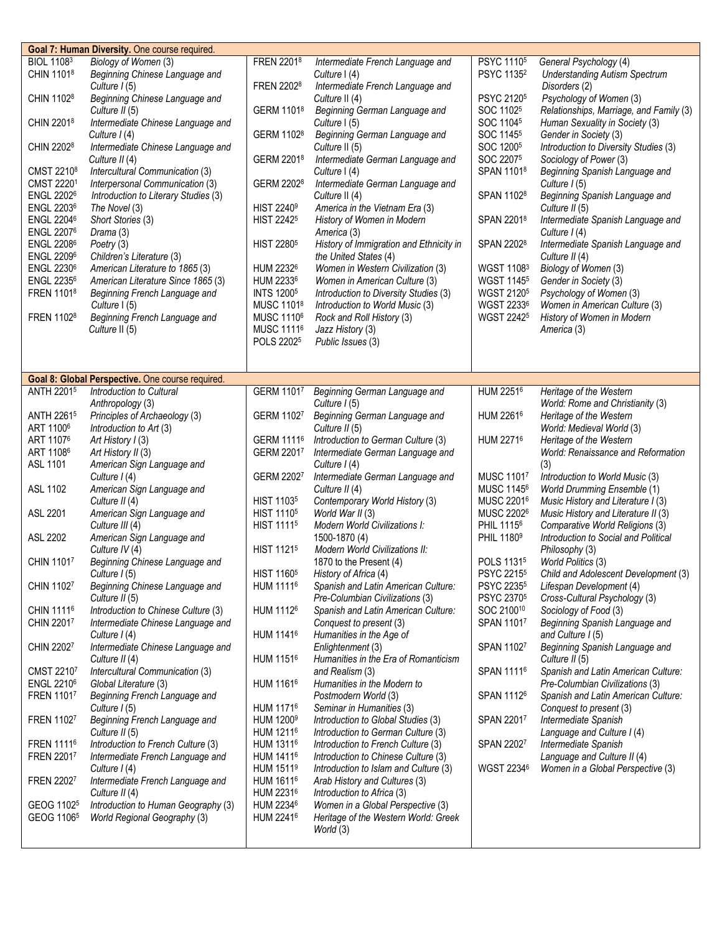|                        | Goal 7: Human Diversity. One course required.    |                              |                                         |                        |                                         |
|------------------------|--------------------------------------------------|------------------------------|-----------------------------------------|------------------------|-----------------------------------------|
| <b>BIOL 11083</b>      | Biology of Women (3)                             | FREN 22018                   | Intermediate French Language and        | PSYC 1110 <sup>5</sup> | General Psychology (4)                  |
| CHIN 11018             | Beginning Chinese Language and                   |                              | Culture I (4)                           | PSYC 1135 <sup>2</sup> | <b>Understanding Autism Spectrum</b>    |
|                        |                                                  | FREN 22028                   |                                         |                        |                                         |
|                        | Culture $I(5)$                                   |                              | Intermediate French Language and        |                        | Disorders (2)                           |
| CHIN 1102 <sup>8</sup> | Beginning Chinese Language and                   |                              | Culture II (4)                          | PSYC 21205             | Psychology of Women (3)                 |
|                        | Culture II (5)                                   | GERM 11018                   | Beginning German Language and           | SOC 11025              | Relationships, Marriage, and Family (3) |
| CHIN 22018             | Intermediate Chinese Language and                |                              | Culture I (5)                           | SOC 11045              | Human Sexuality in Society (3)          |
|                        |                                                  |                              |                                         |                        |                                         |
|                        | Culture I (4)                                    | GERM 1102 <sup>8</sup>       | Beginning German Language and           | SOC 1145 <sup>5</sup>  | Gender in Society (3)                   |
| CHIN 22028             | Intermediate Chinese Language and                |                              | Culture II (5)                          | SOC 12005              | Introduction to Diversity Studies (3)   |
|                        | Culture II (4)                                   | GERM 22018                   | Intermediate German Language and        | SOC 22075              | Sociology of Power (3)                  |
| CMST 2210 <sup>8</sup> | Intercultural Communication (3)                  |                              | Culture I (4)                           | SPAN 11018             | Beginning Spanish Language and          |
|                        |                                                  |                              |                                         |                        |                                         |
| CMST 22201             | Interpersonal Communication (3)                  | GERM 2202 <sup>8</sup>       | Intermediate German Language and        |                        | Culture $1(5)$                          |
| <b>ENGL 22026</b>      | Introduction to Literary Studies (3)             |                              | Culture II (4)                          | SPAN 11028             | Beginning Spanish Language and          |
| <b>ENGL 22036</b>      | The Novel (3)                                    | <b>HIST 2240<sup>9</sup></b> | America in the Vietnam Era (3)          |                        | Culture II (5)                          |
| <b>ENGL 22046</b>      |                                                  | <b>HIST 2242<sup>5</sup></b> | History of Women in Modern              | SPAN 22018             |                                         |
|                        | Short Stories (3)                                |                              |                                         |                        | Intermediate Spanish Language and       |
| <b>ENGL 22076</b>      | Drama (3)                                        |                              | America (3)                             |                        | Culture $I(4)$                          |
| <b>ENGL 22086</b>      | Poetry (3)                                       | <b>HIST 2280<sup>5</sup></b> | History of Immigration and Ethnicity in | SPAN 22028             | Intermediate Spanish Language and       |
| <b>ENGL 22096</b>      | Children's Literature (3)                        |                              | the United States (4)                   |                        | Culture II (4)                          |
| <b>ENGL 22306</b>      |                                                  | HUM 22326                    |                                         | WGST 11083             |                                         |
|                        | American Literature to 1865 (3)                  |                              | Women in Western Civilization (3)       |                        | Biology of Women (3)                    |
| <b>ENGL 22356</b>      | American Literature Since 1865 (3)               | HUM 22336                    | Women in American Culture (3)           | <b>WGST 11455</b>      | Gender in Society (3)                   |
| FREN 11018             | Beginning French Language and                    | <b>INTS 12005</b>            | Introduction to Diversity Studies (3)   | WGST 21205             | Psychology of Women (3)                 |
|                        | Culture I (5)                                    | MUSC 11018                   | Introduction to World Music (3)         | WGST 22336             | Women in American Culture (3)           |
|                        |                                                  |                              |                                         |                        |                                         |
| FREN 11028             | Beginning French Language and                    | MUSC 1110 <sup>6</sup>       | Rock and Roll History (3)               | <b>WGST 22425</b>      | History of Women in Modern              |
|                        | Culture II (5)                                   | MUSC 11116                   | Jazz History (3)                        |                        | America (3)                             |
|                        |                                                  | POLS 22025                   | Public Issues (3)                       |                        |                                         |
|                        |                                                  |                              |                                         |                        |                                         |
|                        |                                                  |                              |                                         |                        |                                         |
|                        |                                                  |                              |                                         |                        |                                         |
|                        | Goal 8: Global Perspective. One course required. |                              |                                         |                        |                                         |
| ANTH 22015             | Introduction to Cultural                         | GERM 11017                   | Beginning German Language and           | HUM 22516              | Heritage of the Western                 |
|                        | Anthropology (3)                                 |                              | Culture I (5)                           |                        | World: Rome and Christianity (3)        |
|                        |                                                  |                              |                                         |                        |                                         |
| ANTH 22615             | Principles of Archaeology (3)                    | GERM 11027                   | Beginning German Language and           | HUM 2261 <sup>6</sup>  | Heritage of the Western                 |
| ART 1100 <sup>6</sup>  | Introduction to Art (3)                          |                              | Culture II (5)                          |                        | World: Medieval World (3)               |
| ART 11076              | Art History I (3)                                | GERM 11116                   | Introduction to German Culture (3)      | HUM 22716              | Heritage of the Western                 |
|                        |                                                  |                              |                                         |                        |                                         |
|                        |                                                  |                              |                                         |                        |                                         |
| ART 11086              | Art History II (3)                               | GERM 22017                   | Intermediate German Language and        |                        | World: Renaissance and Reformation      |
| ASL 1101               | American Sign Language and                       |                              | Culture $I(4)$                          |                        | (3)                                     |
|                        | Culture $I(4)$                                   | GERM 22027                   | Intermediate German Language and        | MUSC 11017             | Introduction to World Music (3)         |
|                        |                                                  |                              |                                         |                        |                                         |
| ASL 1102               | American Sign Language and                       |                              | Culture II (4)                          | MUSC 11456             | <b>World Drumming Ensemble (1)</b>      |
|                        | Culture II (4)                                   | HIST 1103 <sup>5</sup>       | Contemporary World History (3)          | MUSC 22016             | Music History and Literature I (3)      |
| ASL 2201               | American Sign Language and                       | HIST 1110 <sup>5</sup>       | World War II (3)                        | MUSC 22026             | Music History and Literature II (3)     |
|                        | Culture III (4)                                  | HIST 1111 <sup>5</sup>       | Modern World Civilizations I:           | PHIL 1115 <sup>6</sup> | Comparative World Religions (3)         |
|                        |                                                  |                              |                                         |                        |                                         |
| ASL 2202               | American Sign Language and                       |                              | 1500-1870 (4)                           | PHIL 1180 <sup>9</sup> | Introduction to Social and Political    |
|                        | Culture IV (4)                                   | HIST 1121 <sup>5</sup>       | <b>Modern World Civilizations II:</b>   |                        | Philosophy (3)                          |
| CHIN 11017             | Beginning Chinese Language and                   |                              | 1870 to the Present (4)                 | POLS 11315             | World Politics (3)                      |
|                        | Culture I (5)                                    | <b>HIST 1160<sup>5</sup></b> | History of Africa (4)                   | PSYC 2215 <sup>5</sup> | Child and Adolescent Development (3)    |
|                        |                                                  |                              |                                         |                        |                                         |
| CHIN 11027             | Beginning Chinese Language and                   | HUM 11116                    | Spanish and Latin American Culture:     | PSYC 22355             | Lifespan Development (4)                |
|                        | Culture II (5)                                   |                              | Pre-Columbian Civilizations (3)         | PSYC 2370 <sup>5</sup> | Cross-Cultural Psychology (3)           |
| CHIN 11116             | Introduction to Chinese Culture (3)              | HUM 11126                    | Spanish and Latin American Culture:     | SOC 210010             | Sociology of Food (3)                   |
| CHIN 22017             | Intermediate Chinese Language and                |                              | Conquest to present (3)                 | SPAN 11017             | Beginning Spanish Language and          |
|                        |                                                  |                              |                                         |                        |                                         |
|                        | Culture I (4)                                    | HUM 1141 <sup>6</sup>        | Humanities in the Age of                |                        | and Culture I (5)                       |
| CHIN 22027             | Intermediate Chinese Language and                |                              | Enlightenment (3)                       | SPAN 11027             | Beginning Spanish Language and          |
|                        | Culture II (4)                                   | HUM 1151 <sup>6</sup>        | Humanities in the Era of Romanticism    |                        | Culture II (5)                          |
| CMST 22107             | Intercultural Communication (3)                  |                              | and Realism (3)                         | SPAN 11116             | Spanish and Latin American Culture:     |
|                        |                                                  |                              |                                         |                        |                                         |
| <b>ENGL 22106</b>      | Global Literature (3)                            | HUM 1161 <sup>6</sup>        | Humanities in the Modern to             |                        | Pre-Columbian Civilizations (3)         |
| FREN 11017             | Beginning French Language and                    |                              | Postmodern World (3)                    | SPAN 11126             | Spanish and Latin American Culture:     |
|                        | Culture I (5)                                    | HUM 11716                    | Seminar in Humanities (3)               |                        | Conquest to present (3)                 |
| FREN 11027             | Beginning French Language and                    | HUM 1200 <sup>9</sup>        | Introduction to Global Studies (3)      | SPAN 22017             | Intermediate Spanish                    |
|                        |                                                  | HUM 1211 <sup>6</sup>        |                                         |                        |                                         |
|                        | Culture II (5)                                   |                              | Introduction to German Culture (3)      |                        | Language and Culture I (4)              |
| <b>FREN 11116</b>      | Introduction to French Culture (3)               | HUM 13116                    | Introduction to French Culture (3)      | SPAN 22027             | Intermediate Spanish                    |
| FREN 22017             | Intermediate French Language and                 | HUM 1411 <sup>6</sup>        | Introduction to Chinese Culture (3)     |                        | Language and Culture II (4)             |
|                        | Culture I (4)                                    | HUM 1511 <sup>9</sup>        | Introduction to Islam and Culture (3)   | WGST 22346             | Women in a Global Perspective (3)       |
|                        |                                                  |                              |                                         |                        |                                         |
| FREN 22027             | Intermediate French Language and                 | HUM 1611 <sup>6</sup>        | Arab History and Cultures (3)           |                        |                                         |
|                        | Culture II (4)                                   | HUM 22316                    | Introduction to Africa (3)              |                        |                                         |
| GEOG 1102 <sup>5</sup> | Introduction to Human Geography (3)              | HUM 22346                    | Women in a Global Perspective (3)       |                        |                                         |
| GEOG 1106 <sup>5</sup> | World Regional Geography (3)                     | HUM 22416                    | Heritage of the Western World: Greek    |                        |                                         |
|                        |                                                  |                              | World (3)                               |                        |                                         |